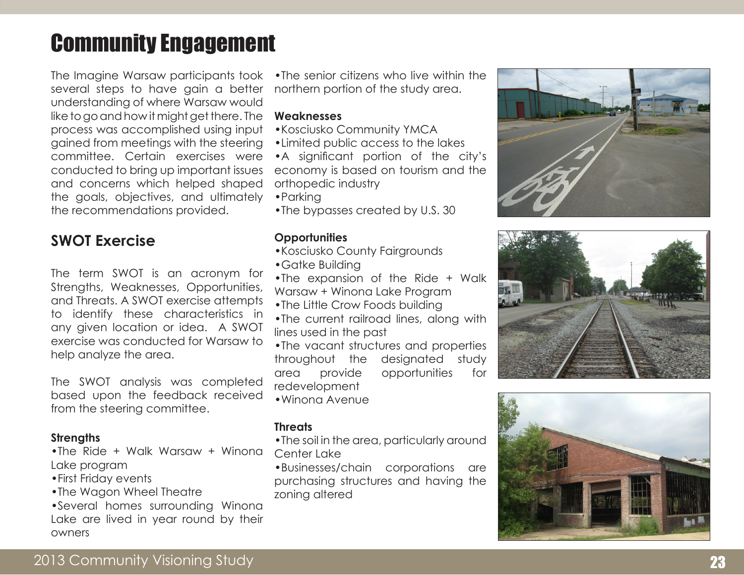# Community Engagement

The Imagine Warsaw participants took several steps to have gain a better understanding of where Warsaw would like to go and how it might get there. The process was accomplished using input gained from meetings with the steering committee. Certain exercises were conducted to bring up important issues and concerns which helped shaped the goals, objectives, and ultimately the recommendations provided.

# **SWOT Exercise**

The term SWOT is an acronym for Strengths, Weaknesses, Opportunities, and Threats. A SWOT exercise attempts to identify these characteristics in any given location or idea. A SWOT exercise was conducted for Warsaw to help analyze the area.

The SWOT analysis was completed based upon the feedback received from the steering committee.

#### **Strengths**

- •The Ride + Walk Warsaw + Winona Lake program
- •First Friday events
- •The Wagon Wheel Theatre

•Several homes surrounding Winona Lake are lived in year round by their owners

•The senior citizens who live within the northern portion of the study area.

### **Weaknesses**

- •Kosciusko Community YMCA
- •Limited public access to the lakes
- •A significant portion of the city's economy is based on tourism and the orthopedic industry
- •Parking
- •The bypasses created by U.S. 30

# **Opportunities**

- •Kosciusko County Fairgrounds
- •Gatke Building
- •The expansion of the Ride + Walk Warsaw + Winona Lake Program
- •The Little Crow Foods building
- •The current railroad lines, along with lines used in the past
- •The vacant structures and properties throughout the designated study area provide opportunities for redevelopment
- •Winona Avenue

## **Threats**

- •The soil in the area, particularly around Center Lake
- •Businesses/chain corporations are purchasing structures and having the zoning altered





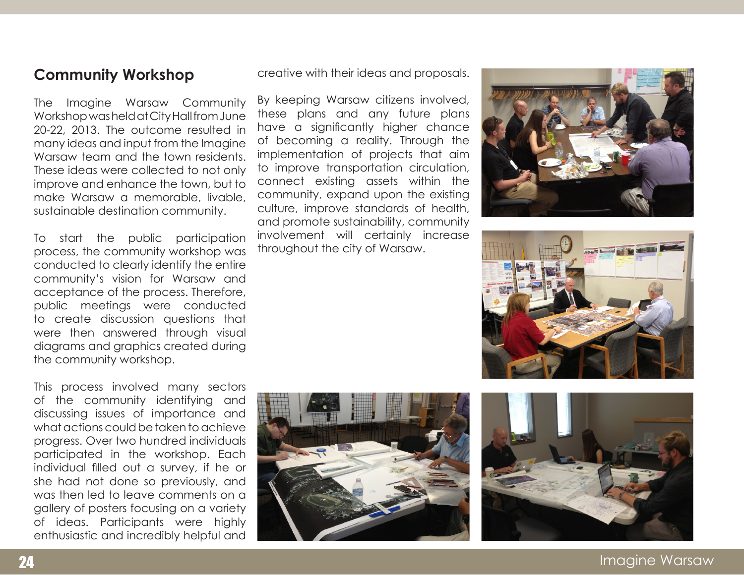# **Community Workshop**

The Imagine Warsaw Community Workshop was held at City Hall from June 20-22, 2013. The outcome resulted in many ideas and input from the Imagine Warsaw team and the town residents. These ideas were collected to not only improve and enhance the town, but to make Warsaw a memorable, livable, sustainable destination community.

To start the public participation process, the community workshop was conducted to clearly identify the entire community's vision for Warsaw and acceptance of the process. Therefore, public meetings were conducted to create discussion questions that were then answered through visual diagrams and graphics created during the community workshop.

This process involved many sectors of the community identifying and discussing issues of importance and what actions could be taken to achieve progress. Over two hundred individuals participated in the workshop. Each individual filled out a survey, if he or she had not done so previously, and was then led to leave comments on a gallery of posters focusing on a variety of ideas. Participants were highly enthusiastic and incredibly helpful and creative with their ideas and proposals.

By keeping Warsaw citizens involved, these plans and any future plans have a significantly higher chance of becoming a reality. Through the implementation of projects that aim to improve transportation circulation, connect existing assets within the community, expand upon the existing culture, improve standards of health, and promote sustainability, community involvement will certainly increase throughout the city of Warsaw.









24 Imagine Warsaw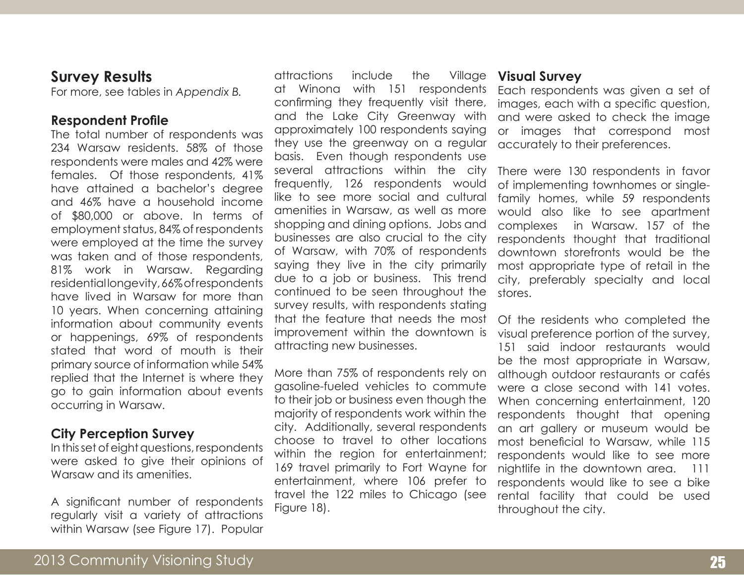# **Survey Results**

For more, see tables in *Appendix B.*

### **Respondent Profile**

The total number of respondents was 234 Warsaw residents. 58% of those respondents were males and 42% were females. Of those respondents, 41% have attained a bachelor's degree and 46% have a household income of \$80,000 or above. In terms of employment status, 84% of respondents were employed at the time the survey was taken and of those respondents, 81% work in Warsaw. Regarding residential longevity, 66% of respondents have lived in Warsaw for more than 10 years. When concerning attaining information about community events or happenings, 69% of respondents stated that word of mouth is their primary source of information while 54% replied that the Internet is where they go to gain information about events occurring in Warsaw.

## **City Perception Survey**

In this set of eight questions, respondents were asked to give their opinions of Warsaw and its amenities.

A significant number of respondents regularly visit a variety of attractions within Warsaw (see Figure 17). Popular attractions include the Village at Winona with 151 respondents confirming they frequently visit there, and the Lake City Greenway with approximately 100 respondents saying they use the greenway on a regular basis. Even though respondents use several attractions within the city frequently, 126 respondents would like to see more social and cultural amenities in Warsaw, as well as more shopping and dining options. Jobs and businesses are also crucial to the city of Warsaw, with 70% of respondents saying they live in the city primarily due to a job or business. This trend continued to be seen throughout the survey results, with respondents stating that the feature that needs the most improvement within the downtown is attracting new businesses.

More than 75% of respondents rely on gasoline-fueled vehicles to commute to their job or business even though the majority of respondents work within the city. Additionally, several respondents choose to travel to other locations within the region for entertainment; 169 travel primarily to Fort Wayne for entertainment, where 106 prefer to travel the 122 miles to Chicago (see Figure 18).

### **Visual Survey**

Each respondents was given a set of images, each with a specific question, and were asked to check the image or images that correspond most accurately to their preferences.

There were 130 respondents in favor of implementing townhomes or singlefamily homes, while 59 respondents would also like to see apartment complexes in Warsaw. 157 of the respondents thought that traditional downtown storefronts would be the most appropriate type of retail in the city, preferably specialty and local stores.

Of the residents who completed the visual preference portion of the survey, 151 said indoor restaurants would be the most appropriate in Warsaw, although outdoor restaurants or cafés were a close second with 141 votes. When concerning entertainment, 120 respondents thought that opening an art gallery or museum would be most beneficial to Warsaw, while 115 respondents would like to see more nightlife in the downtown area. 111 respondents would like to see a bike rental facility that could be used throughout the city.